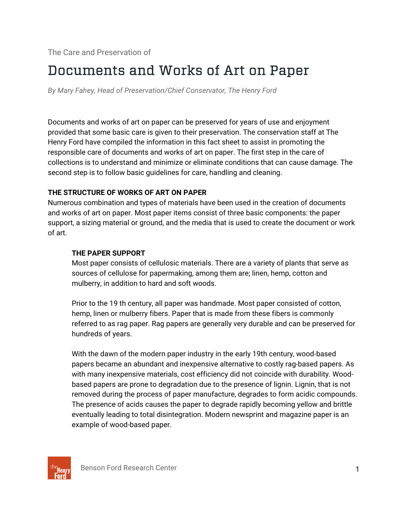# Documents and Works of Art on Paper

*By Mary Fahey, Head of Preservation/Chief Conservator, The Henry Ford* 

Documents and works of art on paper can be preserved for years of use and enjoyment provided that some basic care is given to their preservation. The conservation staff at The Henry Ford have compiled the information in this fact sheet to assist in promoting the responsible care of documents and works of art on paper. The first step in the care of collections is to understand and minimize or eliminate conditions that can cause damage. The second step is to follow basic guidelines for care, handling and cleaning.

## **THE STRUCTURE OF WORKS OF ART ON PAPER**

Numerous combination and types of materials have been used in the creation of documents and works of art on paper. Most paper items consist of three basic components: the paper support, a sizing material or ground, and the media that is used to create the document or work of art.

## **THE PAPER SUPPORT**

Most paper consists of cellulosic materials. There are a variety of plants that serve as sources of cellulose for papermaking, among them are; linen, hemp, cotton and mulberry, in addition to hard and soft woods.

Prior to the 19 th century, all paper was handmade. Most paper consisted of cotton, hemp, linen or mulberry fibers. Paper that is made from these fibers is commonly referred to as rag paper. Rag papers are generally very durable and can be preserved for hundreds of years.

With the dawn of the modern paper industry in the early 19th century, wood-based papers became an abundant and inexpensive alternative to costly rag-based papers. As with many inexpensive materials, cost efficiency did not coincide with durability. Woodbased papers are prone to degradation due to the presence of lignin. Lignin, that is not removed during the process of paper manufacture, degrades to form acidic compounds. The presence of acids causes the paper to degrade rapidly becoming yellow and brittle eventually leading to total disintegration. Modern newsprint and magazine paper is an example of wood-based paper.

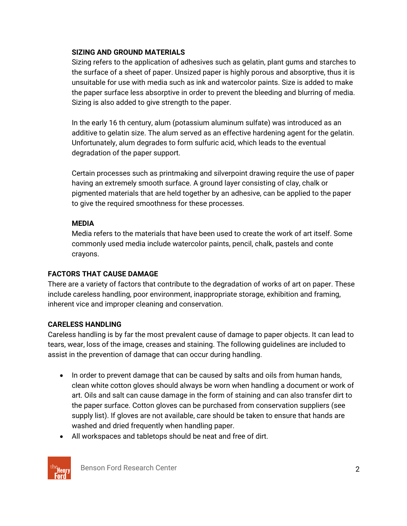## **SIZING AND GROUND MATERIALS**

Sizing refers to the application of adhesives such as gelatin, plant gums and starches to the surface of a sheet of paper. Unsized paper is highly porous and absorptive, thus it is unsuitable for use with media such as ink and watercolor paints. Size is added to make the paper surface less absorptive in order to prevent the bleeding and blurring of media. Sizing is also added to give strength to the paper.

In the early 16 th century, alum (potassium aluminum sulfate) was introduced as an additive to gelatin size. The alum served as an effective hardening agent for the gelatin. Unfortunately, alum degrades to form sulfuric acid, which leads to the eventual degradation of the paper support.

Certain processes such as printmaking and silverpoint drawing require the use of paper having an extremely smooth surface. A ground layer consisting of clay, chalk or pigmented materials that are held together by an adhesive, can be applied to the paper to give the required smoothness for these processes.

# **MEDIA**

Media refers to the materials that have been used to create the work of art itself. Some commonly used media include watercolor paints, pencil, chalk, pastels and conte crayons.

# **FACTORS THAT CAUSE DAMAGE**

There are a variety of factors that contribute to the degradation of works of art on paper. These include careless handling, poor environment, inappropriate storage, exhibition and framing, inherent vice and improper cleaning and conservation.

# **CARELESS HANDLING**

Careless handling is by far the most prevalent cause of damage to paper objects. It can lead to tears, wear, loss of the image, creases and staining. The following guidelines are included to assist in the prevention of damage that can occur during handling.

- In order to prevent damage that can be caused by salts and oils from human hands, clean white cotton gloves should always be worn when handling a document or work of art. Oils and salt can cause damage in the form of staining and can also transfer dirt to the paper surface. Cotton gloves can be purchased from conservation suppliers (see supply list). If gloves are not available, care should be taken to ensure that hands are washed and dried frequently when handling paper.
- All workspaces and tabletops should be neat and free of dirt.



Benson Ford Research Center 2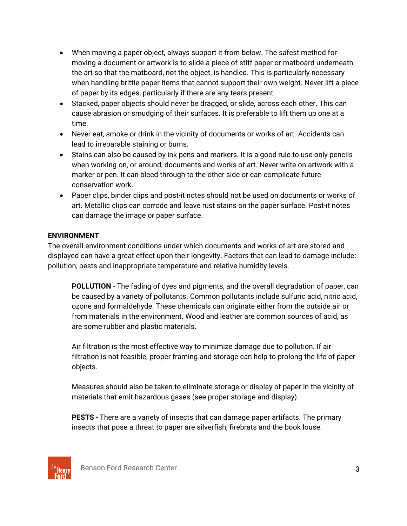- When moving a paper object, always support it from below. The safest method for moving a document or artwork is to slide a piece of stiff paper or matboard underneath the art so that the matboard, not the object, is handled. This is particularly necessary when handling brittle paper items that cannot support their own weight. Never lift a piece of paper by its edges, particularly if there are any tears present.
- Stacked, paper objects should never be dragged, or slide, across each other. This can cause abrasion or smudging of their surfaces. It is preferable to lift them up one at a time.
- Never eat, smoke or drink in the vicinity of documents or works of art. Accidents can lead to irreparable staining or burns.
- Stains can also be caused by ink pens and markers. It is a good rule to use only pencils when working on, or around, documents and works of art. Never write on artwork with a marker or pen. It can bleed through to the other side or can complicate future conservation work.
- Paper clips, binder clips and post-it notes should not be used on documents or works of art. Metallic clips can corrode and leave rust stains on the paper surface. Post-it notes can damage the image or paper surface.

# **ENVIRONMENT**

The overall environment conditions under which documents and works of art are stored and displayed can have a great effect upon their longevity. Factors that can lead to damage include: pollution, pests and inappropriate temperature and relative humidity levels.

**POLLUTION** - The fading of dyes and pigments, and the overall degradation of paper, can be caused by a variety of pollutants. Common pollutants include sulfuric acid, nitric acid, ozone and formaldehyde. These chemicals can originate either from the outside air or from materials in the environment. Wood and leather are common sources of acid, as are some rubber and plastic materials.

Air filtration is the most effective way to minimize damage due to pollution. If air filtration is not feasible, proper framing and storage can help to prolong the life of paper objects.

Measures should also be taken to eliminate storage or display of paper in the vicinity of materials that emit hazardous gases (see proper storage and display).

**PESTS** - There are a variety of insects that can damage paper artifacts. The primary insects that pose a threat to paper are silverfish, firebrats and the book louse.

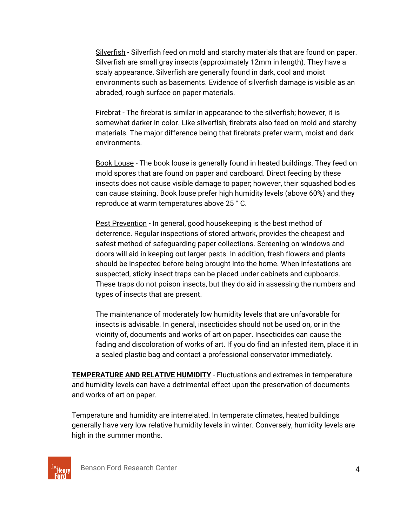Silverfish - Silverfish feed on mold and starchy materials that are found on paper. Silverfish are small gray insects (approximately 12mm in length). They have a scaly appearance. Silverfish are generally found in dark, cool and moist environments such as basements. Evidence of silverfish damage is visible as an abraded, rough surface on paper materials.

Firebrat - The firebrat is similar in appearance to the silverfish; however, it is somewhat darker in color. Like silverfish, firebrats also feed on mold and starchy materials. The major difference being that firebrats prefer warm, moist and dark environments.

Book Louse - The book louse is generally found in heated buildings. They feed on mold spores that are found on paper and cardboard. Direct feeding by these insects does not cause visible damage to paper; however, their squashed bodies can cause staining. Book louse prefer high humidity levels (above 60%) and they reproduce at warm temperatures above 25 ° C.

Pest Prevention - In general, good housekeeping is the best method of deterrence. Regular inspections of stored artwork, provides the cheapest and safest method of safeguarding paper collections. Screening on windows and doors will aid in keeping out larger pests. In addition, fresh flowers and plants should be inspected before being brought into the home. When infestations are suspected, sticky insect traps can be placed under cabinets and cupboards. These traps do not poison insects, but they do aid in assessing the numbers and types of insects that are present.

The maintenance of moderately low humidity levels that are unfavorable for insects is advisable. In general, insecticides should not be used on, or in the vicinity of, documents and works of art on paper. Insecticides can cause the fading and discoloration of works of art. If you do find an infested item, place it in a sealed plastic bag and contact a professional conservator immediately.

**TEMPERATURE AND RELATIVE HUMIDITY** - Fluctuations and extremes in temperature and humidity levels can have a detrimental effect upon the preservation of documents and works of art on paper.

Temperature and humidity are interrelated. In temperate climates, heated buildings generally have very low relative humidity levels in winter. Conversely, humidity levels are high in the summer months.

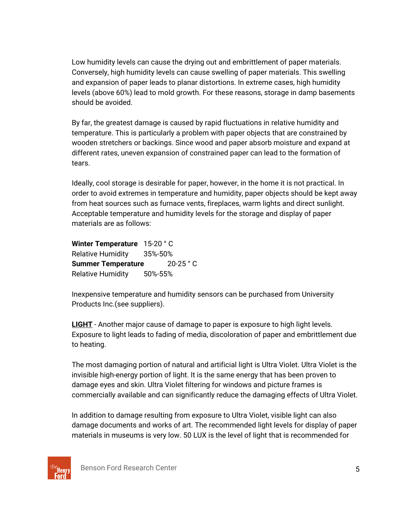Low humidity levels can cause the drying out and embrittlement of paper materials. Conversely, high humidity levels can cause swelling of paper materials. This swelling and expansion of paper leads to planar distortions. In extreme cases, high humidity levels (above 60%) lead to mold growth. For these reasons, storage in damp basements should be avoided.

By far, the greatest damage is caused by rapid fluctuations in relative humidity and temperature. This is particularly a problem with paper objects that are constrained by wooden stretchers or backings. Since wood and paper absorb moisture and expand at different rates, uneven expansion of constrained paper can lead to the formation of tears.

Ideally, cool storage is desirable for paper, however, in the home it is not practical. In order to avoid extremes in temperature and humidity, paper objects should be kept away from heat sources such as furnace vents, fireplaces, warm lights and direct sunlight. Acceptable temperature and humidity levels for the storage and display of paper materials are as follows:

| Winter Temperature 15-20 °C |                     |
|-----------------------------|---------------------|
| <b>Relative Humidity</b>    | $35\% - 50\%$       |
| <b>Summer Temperature</b>   | $20-25$ $\degree$ C |
| <b>Relative Humidity</b>    | 50%-55%             |

Inexpensive temperature and humidity sensors can be purchased from University Products Inc.(see suppliers).

**LIGHT** - Another major cause of damage to paper is exposure to high light levels. Exposure to light leads to fading of media, discoloration of paper and embrittlement due to heating.

The most damaging portion of natural and artificial light is Ultra Violet. Ultra Violet is the invisible high-energy portion of light. It is the same energy that has been proven to damage eyes and skin. Ultra Violet filtering for windows and picture frames is commercially available and can significantly reduce the damaging effects of Ultra Violet.

In addition to damage resulting from exposure to Ultra Violet, visible light can also damage documents and works of art. The recommended light levels for display of paper materials in museums is very low. 50 LUX is the level of light that is recommended for

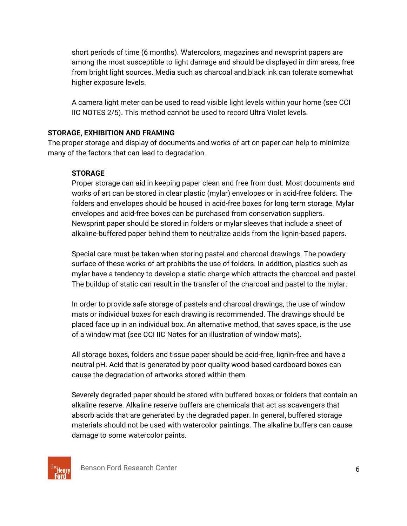short periods of time (6 months). Watercolors, magazines and newsprint papers are among the most susceptible to light damage and should be displayed in dim areas, free from bright light sources. Media such as charcoal and black ink can tolerate somewhat higher exposure levels.

A camera light meter can be used to read visible light levels within your home (see CCI IIC NOTES 2/5). This method cannot be used to record Ultra Violet levels.

# **STORAGE, EXHIBITION AND FRAMING**

The proper storage and display of documents and works of art on paper can help to minimize many of the factors that can lead to degradation.

# **STORAGE**

Proper storage can aid in keeping paper clean and free from dust. Most documents and works of art can be stored in clear plastic (mylar) envelopes or in acid-free folders. The folders and envelopes should be housed in acid-free boxes for long term storage. Mylar envelopes and acid-free boxes can be purchased from conservation suppliers. Newsprint paper should be stored in folders or mylar sleeves that include a sheet of alkaline-buffered paper behind them to neutralize acids from the lignin-based papers.

Special care must be taken when storing pastel and charcoal drawings. The powdery surface of these works of art prohibits the use of folders. In addition, plastics such as mylar have a tendency to develop a static charge which attracts the charcoal and pastel. The buildup of static can result in the transfer of the charcoal and pastel to the mylar.

In order to provide safe storage of pastels and charcoal drawings, the use of window mats or individual boxes for each drawing is recommended. The drawings should be placed face up in an individual box. An alternative method, that saves space, is the use of a window mat (see CCI IIC Notes for an illustration of window mats).

All storage boxes, folders and tissue paper should be acid-free, lignin-free and have a neutral pH. Acid that is generated by poor quality wood-based cardboard boxes can cause the degradation of artworks stored within them.

Severely degraded paper should be stored with buffered boxes or folders that contain an alkaline reserve. Alkaline reserve buffers are chemicals that act as scavengers that absorb acids that are generated by the degraded paper. In general, buffered storage materials should not be used with watercolor paintings. The alkaline buffers can cause damage to some watercolor paints.

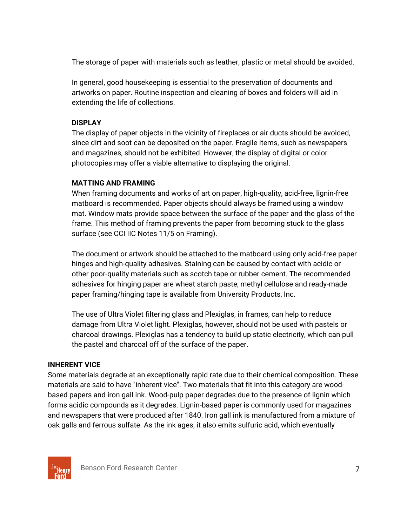The storage of paper with materials such as leather, plastic or metal should be avoided.

In general, good housekeeping is essential to the preservation of documents and artworks on paper. Routine inspection and cleaning of boxes and folders will aid in extending the life of collections.

# **DISPLAY**

The display of paper objects in the vicinity of fireplaces or air ducts should be avoided, since dirt and soot can be deposited on the paper. Fragile items, such as newspapers and magazines, should not be exhibited. However, the display of digital or color photocopies may offer a viable alternative to displaying the original.

# **MATTING AND FRAMING**

When framing documents and works of art on paper, high-quality, acid-free, lignin-free matboard is recommended. Paper objects should always be framed using a window mat. Window mats provide space between the surface of the paper and the glass of the frame. This method of framing prevents the paper from becoming stuck to the glass surface (see CCI IIC Notes 11/5 on Framing).

The document or artwork should be attached to the matboard using only acid-free paper hinges and high-quality adhesives. Staining can be caused by contact with acidic or other poor-quality materials such as scotch tape or rubber cement. The recommended adhesives for hinging paper are wheat starch paste, methyl cellulose and ready-made paper framing/hinging tape is available from University Products, Inc.

The use of Ultra Violet filtering glass and Plexiglas, in frames, can help to reduce damage from Ultra Violet light. Plexiglas, however, should not be used with pastels or charcoal drawings. Plexiglas has a tendency to build up static electricity, which can pull the pastel and charcoal off of the surface of the paper.

# **INHERENT VICE**

Some materials degrade at an exceptionally rapid rate due to their chemical composition. These materials are said to have "inherent vice". Two materials that fit into this category are woodbased papers and iron gall ink. Wood-pulp paper degrades due to the presence of lignin which forms acidic compounds as it degrades. Lignin-based paper is commonly used for magazines and newspapers that were produced after 1840. Iron gall ink is manufactured from a mixture of oak galls and ferrous sulfate. As the ink ages, it also emits sulfuric acid, which eventually

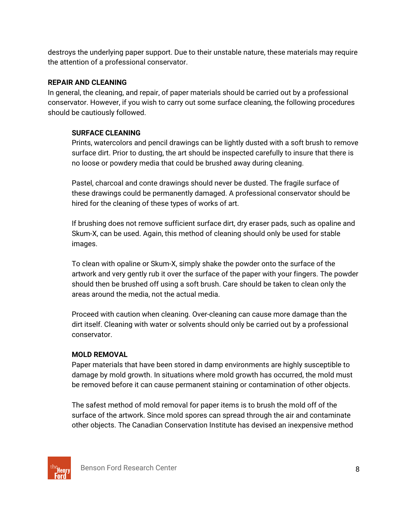destroys the underlying paper support. Due to their unstable nature, these materials may require the attention of a professional conservator.

# **REPAIR AND CLEANING**

In general, the cleaning, and repair, of paper materials should be carried out by a professional conservator. However, if you wish to carry out some surface cleaning, the following procedures should be cautiously followed.

# **SURFACE CLEANING**

Prints, watercolors and pencil drawings can be lightly dusted with a soft brush to remove surface dirt. Prior to dusting, the art should be inspected carefully to insure that there is no loose or powdery media that could be brushed away during cleaning.

Pastel, charcoal and conte drawings should never be dusted. The fragile surface of these drawings could be permanently damaged. A professional conservator should be hired for the cleaning of these types of works of art.

If brushing does not remove sufficient surface dirt, dry eraser pads, such as opaline and Skum-X, can be used. Again, this method of cleaning should only be used for stable images.

To clean with opaline or Skum-X, simply shake the powder onto the surface of the artwork and very gently rub it over the surface of the paper with your fingers. The powder should then be brushed off using a soft brush. Care should be taken to clean only the areas around the media, not the actual media.

Proceed with caution when cleaning. Over-cleaning can cause more damage than the dirt itself. Cleaning with water or solvents should only be carried out by a professional conservator.

# **MOLD REMOVAL**

Paper materials that have been stored in damp environments are highly susceptible to damage by mold growth. In situations where mold growth has occurred, the mold must be removed before it can cause permanent staining or contamination of other objects.

The safest method of mold removal for paper items is to brush the mold off of the surface of the artwork. Since mold spores can spread through the air and contaminate other objects. The Canadian Conservation Institute has devised an inexpensive method

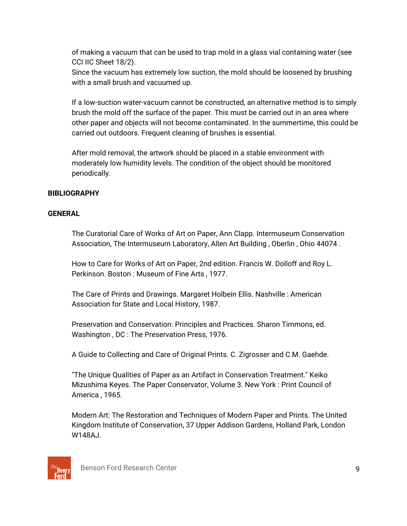of making a vacuum that can be used to trap mold in a glass vial containing water (see CCI IIC Sheet 18/2).

Since the vacuum has extremely low suction, the mold should be loosened by brushing with a small brush and vacuumed up.

If a low-suction water-vacuum cannot be constructed, an alternative method is to simply brush the mold off the surface of the paper. This must be carried out in an area where other paper and objects will not become contaminated. In the summertime, this could be carried out outdoors. Frequent cleaning of brushes is essential.

After mold removal, the artwork should be placed in a stable environment with moderately low humidity levels. The condition of the object should be monitored periodically.

# **BIBLIOGRAPHY**

## **GENERAL**

The Curatorial Care of Works of Art on Paper, Ann Clapp. Intermuseum Conservation Association, The Intermuseum Laboratory, Allen Art Building , Oberlin , Ohio 44074 .

How to Care for Works of Art on Paper, 2nd edition. Francis W. Dolloff and Roy L. Perkinson. Boston : Museum of Fine Arts , 1977.

The Care of Prints and Drawings. Margaret Holbein Ellis. Nashville : American Association for State and Local History, 1987.

Preservation and Conservation: Principles and Practices. Sharon Timmons, ed. Washington , DC : The Preservation Press, 1976.

A Guide to Collecting and Care of Original Prints. C. Zigrosser and C.M. Gaehde.

"The Unique Qualities of Paper as an Artifact in Conservation Treatment." Keiko Mizushima Keyes. The Paper Conservator, Volume 3. New York : Print Council of America , 1965.

Modern Art: The Restoration and Techniques of Modern Paper and Prints. The United Kingdom Institute of Conservation, 37 Upper Addison Gardens, Holland Park, London W148AJ.

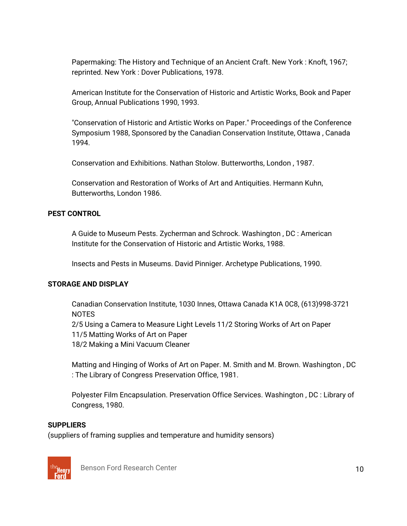Papermaking: The History and Technique of an Ancient Craft. New York : Knoft, 1967; reprinted. New York : Dover Publications, 1978.

American Institute for the Conservation of Historic and Artistic Works, Book and Paper Group, Annual Publications 1990, 1993.

"Conservation of Historic and Artistic Works on Paper." Proceedings of the Conference Symposium 1988, Sponsored by the Canadian Conservation Institute, Ottawa , Canada 1994.

Conservation and Exhibitions. Nathan Stolow. Butterworths, London , 1987.

Conservation and Restoration of Works of Art and Antiquities. Hermann Kuhn, Butterworths, London 1986.

#### **PEST CONTROL**

A Guide to Museum Pests. Zycherman and Schrock. Washington , DC : American Institute for the Conservation of Historic and Artistic Works, 1988.

Insects and Pests in Museums. David Pinniger. Archetype Publications, 1990.

## **STORAGE AND DISPLAY**

Canadian Conservation Institute, 1030 Innes, Ottawa Canada K1A 0C8, (613)998-3721 NOTES 2/5 Using a Camera to Measure Light Levels 11/2 Storing Works of Art on Paper 11/5 Matting Works of Art on Paper 18/2 Making a Mini Vacuum Cleaner

Matting and Hinging of Works of Art on Paper. M. Smith and M. Brown. Washington , DC : The Library of Congress Preservation Office, 1981.

Polyester Film Encapsulation. Preservation Office Services. Washington , DC : Library of Congress, 1980.

#### **SUPPLIERS**

(suppliers of framing supplies and temperature and humidity sensors)



Benson Ford Research Center 10 and 10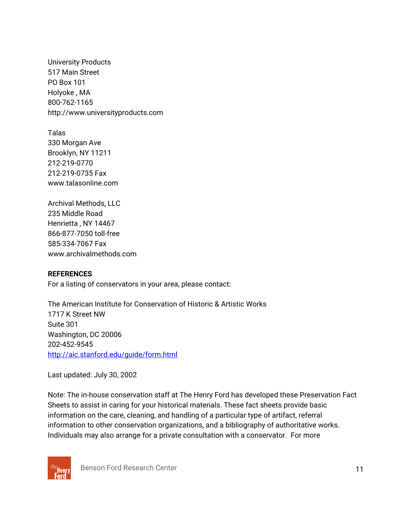University Products 517 Main Street PO Box 101 Holyoke , MA 800-762-1165 http://www.universityproducts.com

Talas 330 Morgan Ave Brooklyn, NY 11211 212-219-0770 212-219-0735 Fax www.talasonline.com

Archival Methods, LLC 235 Middle Road Henrietta , NY 14467 866-877-7050 toll-free 585-334-7067 Fax www.archivalmethods.com

#### **REFERENCES**

For a listing of conservators in your area, please contact:

The American Institute for Conservation of Historic & Artistic Works 1717 K Street NW Suite 301 Washington, DC 20006 202-452-9545 http://aic.stanford.edu/guide/form.html

Last updated: July 30, 2002

Note: The in-house conservation staff at The Henry Ford has developed these Preservation Fact Sheets to assist in caring for your historical materials. These fact sheets provide basic information on the care, cleaning, and handling of a particular type of artifact, referral information to other conservation organizations, and a bibliography of authoritative works. Individuals may also arrange for a private consultation with a conservator. For more



Benson Ford Research Center 11 and 12 and 12 and 12 and 12 and 12 and 12 and 12 and 12 and 12 and 12 and 12 and 12 and 12 and 12 and 12 and 12 and 12 and 12 and 12 and 12 and 12 and 12 and 12 and 12 and 12 and 12 and 12 an